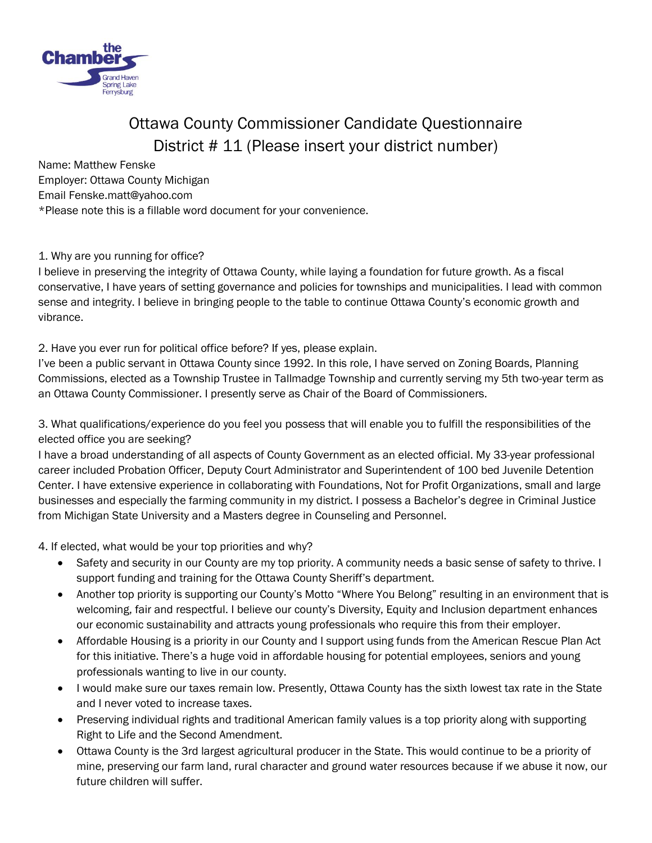

## Ottawa County Commissioner Candidate Questionnaire District # 11 (Please insert your district number)

Name: Matthew Fenske Employer: Ottawa County Michigan Email Fenske.matt@yahoo.com \*Please note this is a fillable word document for your convenience.

## 1. Why are you running for office?

I believe in preserving the integrity of Ottawa County, while laying a foundation for future growth. As a fiscal conservative, I have years of setting governance and policies for townships and municipalities. I lead with common sense and integrity. I believe in bringing people to the table to continue Ottawa County's economic growth and vibrance.

## 2. Have you ever run for political office before? If yes, please explain.

I've been a public servant in Ottawa County since 1992. In this role, I have served on Zoning Boards, Planning Commissions, elected as a Township Trustee in Tallmadge Township and currently serving my 5th two-year term as an Ottawa County Commissioner. I presently serve as Chair of the Board of Commissioners.

3. What qualifications/experience do you feel you possess that will enable you to fulfill the responsibilities of the elected office you are seeking?

I have a broad understanding of all aspects of County Government as an elected official. My 33-year professional career included Probation Officer, Deputy Court Administrator and Superintendent of 100 bed Juvenile Detention Center. I have extensive experience in collaborating with Foundations, Not for Profit Organizations, small and large businesses and especially the farming community in my district. I possess a Bachelor's degree in Criminal Justice from Michigan State University and a Masters degree in Counseling and Personnel.

4. If elected, what would be your top priorities and why?

- Safety and security in our County are my top priority. A community needs a basic sense of safety to thrive. I support funding and training for the Ottawa County Sheriff's department.
- Another top priority is supporting our County's Motto "Where You Belong" resulting in an environment that is welcoming, fair and respectful. I believe our county's Diversity, Equity and Inclusion department enhances our economic sustainability and attracts young professionals who require this from their employer.
- Affordable Housing is a priority in our County and I support using funds from the American Rescue Plan Act for this initiative. There's a huge void in affordable housing for potential employees, seniors and young professionals wanting to live in our county.
- I would make sure our taxes remain low. Presently, Ottawa County has the sixth lowest tax rate in the State and I never voted to increase taxes.
- Preserving individual rights and traditional American family values is a top priority along with supporting Right to Life and the Second Amendment.
- Ottawa County is the 3rd largest agricultural producer in the State. This would continue to be a priority of mine, preserving our farm land, rural character and ground water resources because if we abuse it now, our future children will suffer.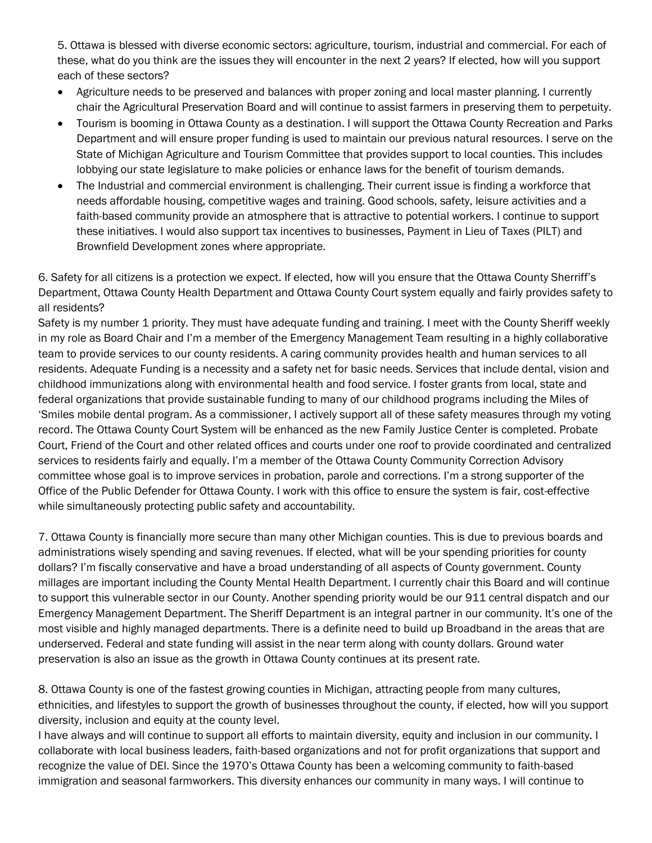5. Ottawa is blessed with diverse economic sectors: agriculture, tourism, industrial and commercial. For each of these, what do you think are the issues they will encounter in the next 2 years? If elected, how will you support each of these sectors?

- Agriculture needs to be preserved and balances with proper zoning and local master planning. I currently chair the Agricultural Preservation Board and will continue to assist farmers in preserving them to perpetuity.
- Tourism is booming in Ottawa County as a destination. I will support the Ottawa County Recreation and Parks Department and will ensure proper funding is used to maintain our previous natural resources. I serve on the State of Michigan Agriculture and Tourism Committee that provides support to local counties. This includes lobbying our state legislature to make policies or enhance laws for the benefit of tourism demands.
- The Industrial and commercial environment is challenging. Their current issue is finding a workforce that needs affordable housing, competitive wages and training. Good schools, safety, leisure activities and a faith-based community provide an atmosphere that is attractive to potential workers. I continue to support these initiatives. I would also support tax incentives to businesses, Payment in Lieu of Taxes (PILT) and Brownfield Development zones where appropriate.

6. Safety for all citizens is a protection we expect. If elected, how will you ensure that the Ottawa County Sherriff's Department, Ottawa County Health Department and Ottawa County Court system equally and fairly provides safety to all residents?

Safety is my number 1 priority. They must have adequate funding and training. I meet with the County Sheriff weekly in my role as Board Chair and I'm a member of the Emergency Management Team resulting in a highly collaborative team to provide services to our county residents. A caring community provides health and human services to all residents. Adequate Funding is a necessity and a safety net for basic needs. Services that include dental, vision and childhood immunizations along with environmental health and food service. I foster grants from local, state and federal organizations that provide sustainable funding to many of our childhood programs including the Miles of 'Smiles mobile dental program. As a commissioner, I actively support all of these safety measures through my voting record. The Ottawa County Court System will be enhanced as the new Family Justice Center is completed. Probate Court, Friend of the Court and other related offices and courts under one roof to provide coordinated and centralized services to residents fairly and equally. I'm a member of the Ottawa County Community Correction Advisory committee whose goal is to improve services in probation, parole and corrections. I'm a strong supporter of the Office of the Public Defender for Ottawa County. I work with this office to ensure the system is fair, cost-effective while simultaneously protecting public safety and accountability.

7. Ottawa County is financially more secure than many other Michigan counties. This is due to previous boards and administrations wisely spending and saving revenues. If elected, what will be your spending priorities for county dollars? I'm fiscally conservative and have a broad understanding of all aspects of County government. County millages are important including the County Mental Health Department. I currently chair this Board and will continue to support this vulnerable sector in our County. Another spending priority would be our 911 central dispatch and our Emergency Management Department. The Sheriff Department is an integral partner in our community. It's one of the most visible and highly managed departments. There is a definite need to build up Broadband in the areas that are underserved. Federal and state funding will assist in the near term along with county dollars. Ground water preservation is also an issue as the growth in Ottawa County continues at its present rate.

8. Ottawa County is one of the fastest growing counties in Michigan, attracting people from many cultures, ethnicities, and lifestyles to support the growth of businesses throughout the county, if elected, how will you support diversity, inclusion and equity at the county level.

I have always and will continue to support all efforts to maintain diversity, equity and inclusion in our community. I collaborate with local business leaders, faith-based organizations and not for profit organizations that support and recognize the value of DEI. Since the 1970's Ottawa County has been a welcoming community to faith-based immigration and seasonal farmworkers. This diversity enhances our community in many ways. I will continue to